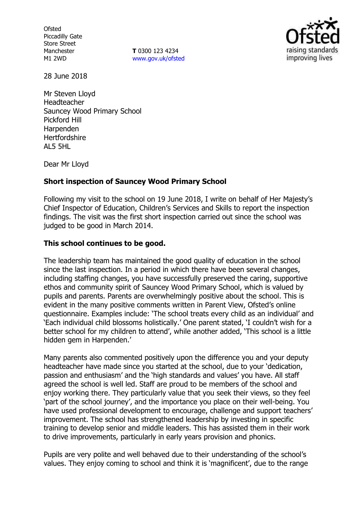**Ofsted** Piccadilly Gate Store Street Manchester M1 2WD

**T** 0300 123 4234 [www.gov.uk/ofsted](http://www.gov.uk/ofsted)



28 June 2018

Mr Steven Lloyd Headteacher Sauncey Wood Primary School Pickford Hill Harpenden **Hertfordshire** AL5 5HL

Dear Mr Lloyd

### **Short inspection of Sauncey Wood Primary School**

Following my visit to the school on 19 June 2018, I write on behalf of Her Majesty's Chief Inspector of Education, Children's Services and Skills to report the inspection findings. The visit was the first short inspection carried out since the school was judged to be good in March 2014.

## **This school continues to be good.**

The leadership team has maintained the good quality of education in the school since the last inspection. In a period in which there have been several changes, including staffing changes, you have successfully preserved the caring, supportive ethos and community spirit of Sauncey Wood Primary School, which is valued by pupils and parents. Parents are overwhelmingly positive about the school. This is evident in the many positive comments written in Parent View, Ofsted's online questionnaire. Examples include: 'The school treats every child as an individual' and 'Each individual child blossoms holistically.' One parent stated, 'I couldn't wish for a better school for my children to attend', while another added, 'This school is a little hidden gem in Harpenden.'

Many parents also commented positively upon the difference you and your deputy headteacher have made since you started at the school, due to your 'dedication, passion and enthusiasm' and the 'high standards and values' you have. All staff agreed the school is well led. Staff are proud to be members of the school and enjoy working there. They particularly value that you seek their views, so they feel 'part of the school journey', and the importance you place on their well-being. You have used professional development to encourage, challenge and support teachers' improvement. The school has strengthened leadership by investing in specific training to develop senior and middle leaders. This has assisted them in their work to drive improvements, particularly in early years provision and phonics.

Pupils are very polite and well behaved due to their understanding of the school's values. They enjoy coming to school and think it is 'magnificent', due to the range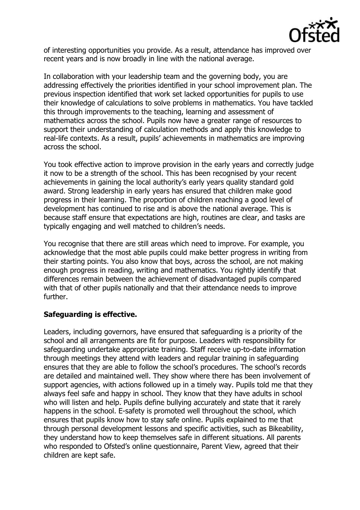

of interesting opportunities you provide. As a result, attendance has improved over recent years and is now broadly in line with the national average.

In collaboration with your leadership team and the governing body, you are addressing effectively the priorities identified in your school improvement plan. The previous inspection identified that work set lacked opportunities for pupils to use their knowledge of calculations to solve problems in mathematics. You have tackled this through improvements to the teaching, learning and assessment of mathematics across the school. Pupils now have a greater range of resources to support their understanding of calculation methods and apply this knowledge to real-life contexts. As a result, pupils' achievements in mathematics are improving across the school.

You took effective action to improve provision in the early years and correctly judge it now to be a strength of the school. This has been recognised by your recent achievements in gaining the local authority's early years quality standard gold award. Strong leadership in early years has ensured that children make good progress in their learning. The proportion of children reaching a good level of development has continued to rise and is above the national average. This is because staff ensure that expectations are high, routines are clear, and tasks are typically engaging and well matched to children's needs.

You recognise that there are still areas which need to improve. For example, you acknowledge that the most able pupils could make better progress in writing from their starting points. You also know that boys, across the school, are not making enough progress in reading, writing and mathematics. You rightly identify that differences remain between the achievement of disadvantaged pupils compared with that of other pupils nationally and that their attendance needs to improve further.

# **Safeguarding is effective.**

Leaders, including governors, have ensured that safeguarding is a priority of the school and all arrangements are fit for purpose. Leaders with responsibility for safeguarding undertake appropriate training. Staff receive up-to-date information through meetings they attend with leaders and regular training in safeguarding ensures that they are able to follow the school's procedures. The school's records are detailed and maintained well. They show where there has been involvement of support agencies, with actions followed up in a timely way. Pupils told me that they always feel safe and happy in school. They know that they have adults in school who will listen and help. Pupils define bullying accurately and state that it rarely happens in the school. E-safety is promoted well throughout the school, which ensures that pupils know how to stay safe online. Pupils explained to me that through personal development lessons and specific activities, such as Bikeability, they understand how to keep themselves safe in different situations. All parents who responded to Ofsted's online questionnaire, Parent View, agreed that their children are kept safe.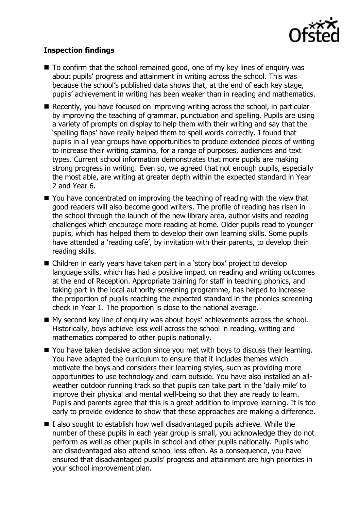

# **Inspection findings**

- $\blacksquare$  To confirm that the school remained good, one of my key lines of enquiry was about pupils' progress and attainment in writing across the school. This was because the school's published data shows that, at the end of each key stage, pupils' achievement in writing has been weaker than in reading and mathematics.
- Recently, you have focused on improving writing across the school, in particular by improving the teaching of grammar, punctuation and spelling. Pupils are using a variety of prompts on display to help them with their writing and say that the 'spelling flaps' have really helped them to spell words correctly. I found that pupils in all year groups have opportunities to produce extended pieces of writing to increase their writing stamina, for a range of purposes, audiences and text types. Current school information demonstrates that more pupils are making strong progress in writing. Even so, we agreed that not enough pupils, especially the most able, are writing at greater depth within the expected standard in Year 2 and Year 6.
- You have concentrated on improving the teaching of reading with the view that good readers will also become good writers. The profile of reading has risen in the school through the launch of the new library area, author visits and reading challenges which encourage more reading at home. Older pupils read to younger pupils, which has helped them to develop their own learning skills. Some pupils have attended a 'reading café', by invitation with their parents, to develop their reading skills.
- Children in early years have taken part in a 'story box' project to develop language skills, which has had a positive impact on reading and writing outcomes at the end of Reception. Appropriate training for staff in teaching phonics, and taking part in the local authority screening programme, has helped to increase the proportion of pupils reaching the expected standard in the phonics screening check in Year 1. The proportion is close to the national average.
- My second key line of enquiry was about boys' achievements across the school. Historically, boys achieve less well across the school in reading, writing and mathematics compared to other pupils nationally.
- You have taken decisive action since you met with boys to discuss their learning. You have adapted the curriculum to ensure that it includes themes which motivate the boys and considers their learning styles, such as providing more opportunities to use technology and learn outside. You have also installed an allweather outdoor running track so that pupils can take part in the 'daily mile' to improve their physical and mental well-being so that they are ready to learn. Pupils and parents agree that this is a great addition to improve learning. It is too early to provide evidence to show that these approaches are making a difference.
- $\blacksquare$  I also sought to establish how well disadvantaged pupils achieve. While the number of these pupils in each year group is small, you acknowledge they do not perform as well as other pupils in school and other pupils nationally. Pupils who are disadvantaged also attend school less often. As a consequence, you have ensured that disadvantaged pupils' progress and attainment are high priorities in your school improvement plan.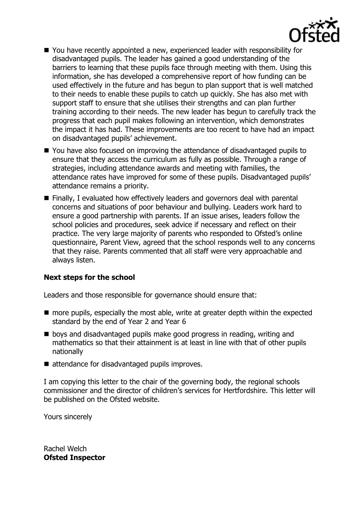

- You have recently appointed a new, experienced leader with responsibility for disadvantaged pupils. The leader has gained a good understanding of the barriers to learning that these pupils face through meeting with them. Using this information, she has developed a comprehensive report of how funding can be used effectively in the future and has begun to plan support that is well matched to their needs to enable these pupils to catch up quickly. She has also met with support staff to ensure that she utilises their strengths and can plan further training according to their needs. The new leader has begun to carefully track the progress that each pupil makes following an intervention, which demonstrates the impact it has had. These improvements are too recent to have had an impact on disadvantaged pupils' achievement.
- You have also focused on improving the attendance of disadvantaged pupils to ensure that they access the curriculum as fully as possible. Through a range of strategies, including attendance awards and meeting with families, the attendance rates have improved for some of these pupils. Disadvantaged pupils' attendance remains a priority.
- Finally, I evaluated how effectively leaders and governors deal with parental concerns and situations of poor behaviour and bullying. Leaders work hard to ensure a good partnership with parents. If an issue arises, leaders follow the school policies and procedures, seek advice if necessary and reflect on their practice. The very large majority of parents who responded to Ofsted's online questionnaire, Parent View, agreed that the school responds well to any concerns that they raise. Parents commented that all staff were very approachable and always listen.

### **Next steps for the school**

Leaders and those responsible for governance should ensure that:

- more pupils, especially the most able, write at greater depth within the expected standard by the end of Year 2 and Year 6
- **Dear** boys and disadvantaged pupils make good progress in reading, writing and mathematics so that their attainment is at least in line with that of other pupils nationally
- attendance for disadvantaged pupils improves.

I am copying this letter to the chair of the governing body, the regional schools commissioner and the director of children's services for Hertfordshire. This letter will be published on the Ofsted website.

Yours sincerely

Rachel Welch **Ofsted Inspector**